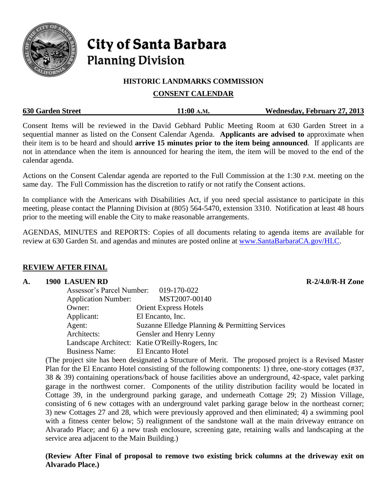

# **City of Santa Barbara Planning Division**

## **HISTORIC LANDMARKS COMMISSION**

# **CONSENT CALENDAR**

| <b>630 Garden Street</b> | 11:00 A.M. | Wednesday, February 27, 2013 |
|--------------------------|------------|------------------------------|
|                          |            |                              |

Consent Items will be reviewed in the David Gebhard Public Meeting Room at 630 Garden Street in a sequential manner as listed on the Consent Calendar Agenda. **Applicants are advised to** approximate when their item is to be heard and should **arrive 15 minutes prior to the item being announced**. If applicants are not in attendance when the item is announced for hearing the item, the item will be moved to the end of the calendar agenda.

Actions on the Consent Calendar agenda are reported to the Full Commission at the 1:30 P.M. meeting on the same day. The Full Commission has the discretion to ratify or not ratify the Consent actions.

In compliance with the Americans with Disabilities Act, if you need special assistance to participate in this meeting, please contact the Planning Division at (805) 564-5470, extension 3310. Notification at least 48 hours prior to the meeting will enable the City to make reasonable arrangements.

AGENDAS, MINUTES and REPORTS: Copies of all documents relating to agenda items are available for review at 630 Garden St. and agendas and minutes are posted online at [www.SantaBarbaraCA.gov/HLC.](http://www.santabarbaraca.gov/HLC)

# **REVIEW AFTER FINAL**

## **A. 1900 LASUEN RD R-2/4.0/R-H Zone**

| LASULIN ND                            |                                                 |  |
|---------------------------------------|-------------------------------------------------|--|
| Assessor's Parcel Number: 019-170-022 |                                                 |  |
| <b>Application Number:</b>            | MST2007-00140                                   |  |
| Owner:                                | <b>Orient Express Hotels</b>                    |  |
| Applicant:                            | El Encanto, Inc.                                |  |
| Agent:                                | Suzanne Elledge Planning & Permitting Services  |  |
| Architects:                           | Gensler and Henry Lenny                         |  |
|                                       | Landscape Architect: Katie O'Reilly-Rogers, Inc |  |
| <b>Business Name:</b>                 | El Encanto Hotel                                |  |

(The project site has been designated a Structure of Merit. The proposed project is a Revised Master Plan for the El Encanto Hotel consisting of the following components: 1) three, one-story cottages (#37, 38 & 39) containing operations/back of house facilities above an underground, 42-space, valet parking garage in the northwest corner. Components of the utility distribution facility would be located in Cottage 39, in the underground parking garage, and underneath Cottage 29; 2) Mission Village, consisting of 6 new cottages with an underground valet parking garage below in the northeast corner; 3) new Cottages 27 and 28, which were previously approved and then eliminated; 4) a swimming pool with a fitness center below; 5) realignment of the sandstone wall at the main driveway entrance on Alvarado Place; and 6) a new trash enclosure, screening gate, retaining walls and landscaping at the service area adjacent to the Main Building.)

**(Review After Final of proposal to remove two existing brick columns at the driveway exit on Alvarado Place.)**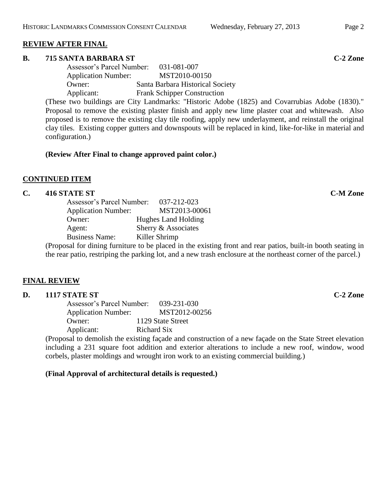# **REVIEW AFTER FINAL**

#### **B. 715 SANTA BARBARA ST C-2 Zone**

| Assessor's Parcel Number:  | 031-081-007                        |
|----------------------------|------------------------------------|
| <b>Application Number:</b> | MST2010-00150                      |
| Owner:                     | Santa Barbara Historical Society   |
| Applicant:                 | <b>Frank Schipper Construction</b> |

(These two buildings are City Landmarks: "Historic Adobe (1825) and Covarrubias Adobe (1830)." Proposal to remove the existing plaster finish and apply new lime plaster coat and whitewash. Also proposed is to remove the existing clay tile roofing, apply new underlayment, and reinstall the original clay tiles. Existing copper gutters and downspouts will be replaced in kind, like-for-like in material and configuration.)

#### **(Review After Final to change approved paint color.)**

## **CONTINUED ITEM**

## **C. 416 STATE ST C-M Zone**

| Assessor's Parcel Number:  | 037-212-023                                                                                                                                                                                                                        |
|----------------------------|------------------------------------------------------------------------------------------------------------------------------------------------------------------------------------------------------------------------------------|
| <b>Application Number:</b> | MST2013-00061                                                                                                                                                                                                                      |
| Owner:                     | Hughes Land Holding                                                                                                                                                                                                                |
| Agent:                     | Sherry & Associates                                                                                                                                                                                                                |
| <b>Business Name:</b>      | Killer Shrimp                                                                                                                                                                                                                      |
|                            | $\bullet$ . The contract of the contract of the contract of the contract of the contract of the contract of the contract of the contract of the contract of the contract of the contract of the contract of the contract of the co |

(Proposal for dining furniture to be placed in the existing front and rear patios, built-in booth seating in the rear patio, restriping the parking lot, and a new trash enclosure at the northeast corner of the parcel.)

## **FINAL REVIEW**

#### **D. 1117 STATE ST C-2 Zone**

Assessor's Parcel Number: 039-231-030 Application Number: MST2012-00256 Owner: 1129 State Street Applicant: Richard Six

(Proposal to demolish the existing façade and construction of a new façade on the State Street elevation including a 231 square foot addition and exterior alterations to include a new roof, window, wood corbels, plaster moldings and wrought iron work to an existing commercial building.)

## **(Final Approval of architectural details is requested.)**